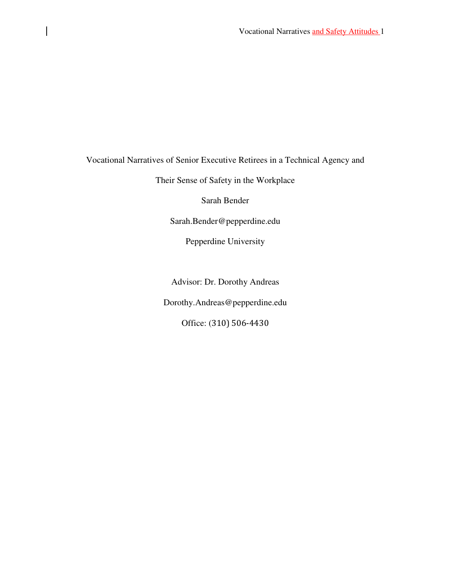Vocational Narratives of Senior Executive Retirees in a Technical Agency and

 $\mathbf{I}$ 

Their Sense of Safety in the Workplace

Sarah Bender

Sarah.Bender@pepperdine.edu

Pepperdine University

Advisor: Dr. Dorothy Andreas

Dorothy.Andreas@pepperdine.edu

Office: (310) 506-4430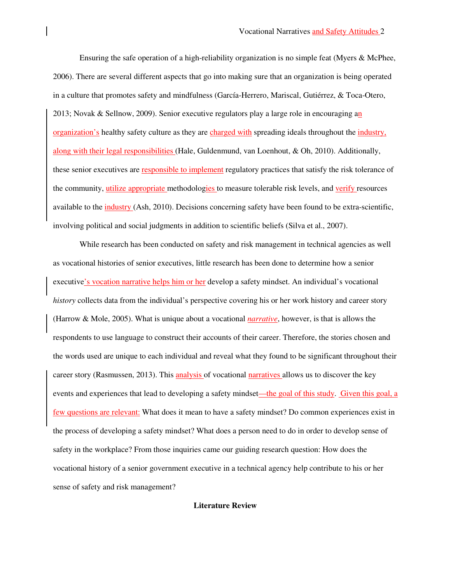Ensuring the safe operation of a high-reliability organization is no simple feat (Myers & McPhee, 2006). There are several different aspects that go into making sure that an organization is being operated in a culture that promotes safety and mindfulness (García-Herrero, Mariscal, Gutiérrez, & Toca-Otero, 2013; Novak & Sellnow, 2009). Senior executive regulators play a large role in encouraging an organization's healthy safety culture as they are charged with spreading ideals throughout the industry, along with their legal responsibilities (Hale, Guldenmund, van Loenhout, & Oh, 2010). Additionally, these senior executives are responsible to implement regulatory practices that satisfy the risk tolerance of the community, utilize appropriate methodologies to measure tolerable risk levels, and verify resources available to the industry (Ash, 2010). Decisions concerning safety have been found to be extra-scientific, involving political and social judgments in addition to scientific beliefs (Silva et al., 2007).

 While research has been conducted on safety and risk management in technical agencies as well as vocational histories of senior executives, little research has been done to determine how a senior executive's vocation narrative helps him or her develop a safety mindset. An individual's vocational *history* collects data from the individual's perspective covering his or her work history and career story (Harrow & Mole, 2005). What is unique about a vocational *narrative*, however, is that is allows the respondents to use language to construct their accounts of their career. Therefore, the stories chosen and the words used are unique to each individual and reveal what they found to be significant throughout their career story (Rasmussen, 2013). This analysis of vocational narratives allows us to discover the key events and experiences that lead to developing a safety mindset—the goal of this study. Given this goal, a few questions are relevant: What does it mean to have a safety mindset? Do common experiences exist in the process of developing a safety mindset? What does a person need to do in order to develop sense of safety in the workplace? From those inquiries came our guiding research question: How does the vocational history of a senior government executive in a technical agency help contribute to his or her sense of safety and risk management?

**Literature Review**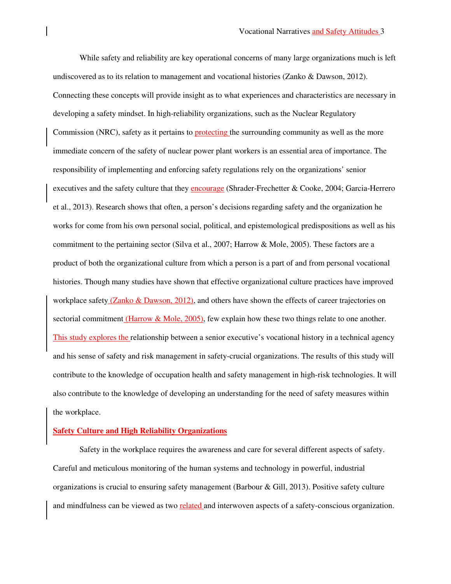While safety and reliability are key operational concerns of many large organizations much is left undiscovered as to its relation to management and vocational histories (Zanko & Dawson, 2012). Connecting these concepts will provide insight as to what experiences and characteristics are necessary in developing a safety mindset. In high-reliability organizations, such as the Nuclear Regulatory Commission (NRC), safety as it pertains to **protecting** the surrounding community as well as the more immediate concern of the safety of nuclear power plant workers is an essential area of importance. The responsibility of implementing and enforcing safety regulations rely on the organizations' senior executives and the safety culture that they encourage (Shrader-Frechetter & Cooke, 2004; Garcia-Herrero et al., 2013). Research shows that often, a person's decisions regarding safety and the organization he works for come from his own personal social, political, and epistemological predispositions as well as his commitment to the pertaining sector (Silva et al., 2007; Harrow & Mole, 2005). These factors are a product of both the organizational culture from which a person is a part of and from personal vocational histories. Though many studies have shown that effective organizational culture practices have improved workplace safety (Zanko & Dawson, 2012), and others have shown the effects of career trajectories on sectorial commitment (Harrow & Mole, 2005), few explain how these two things relate to one another. This study explores the relationship between a senior executive's vocational history in a technical agency and his sense of safety and risk management in safety-crucial organizations. The results of this study will contribute to the knowledge of occupation health and safety management in high-risk technologies. It will also contribute to the knowledge of developing an understanding for the need of safety measures within the workplace.

### **Safety Culture and High Reliability Organizations**

 Safety in the workplace requires the awareness and care for several different aspects of safety. Careful and meticulous monitoring of the human systems and technology in powerful, industrial organizations is crucial to ensuring safety management (Barbour & Gill, 2013). Positive safety culture and mindfulness can be viewed as two related and interwoven aspects of a safety-conscious organization.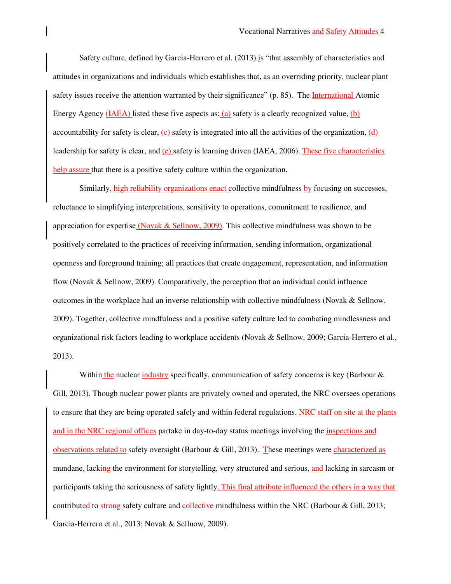Safety culture, defined by Garcia-Herrero et al. (2013) is "that assembly of characteristics and attitudes in organizations and individuals which establishes that, as an overriding priority, nuclear plant safety issues receive the attention warranted by their significance" (p. 85). The International Atomic Energy Agency (IAEA) listed these five aspects as: (a) safety is a clearly recognized value, (b) accountability for safety is clear,  $(c)$  safety is integrated into all the activities of the organization,  $(d)$ leadership for safety is clear, and (e) safety is learning driven (IAEA, 2006). These five characteristics help assure that there is a positive safety culture within the organization.

Similarly, high reliability organizations enact collective mindfulness by focusing on successes, reluctance to simplifying interpretations, sensitivity to operations, commitment to resilience, and appreciation for expertise (Novak & Sellnow, 2009). This collective mindfulness was shown to be positively correlated to the practices of receiving information, sending information, organizational openness and foreground training; all practices that create engagement, representation, and information flow (Novak & Sellnow, 2009). Comparatively, the perception that an individual could influence outcomes in the workplace had an inverse relationship with collective mindfulness (Novak & Sellnow, 2009). Together, collective mindfulness and a positive safety culture led to combating mindlessness and organizational risk factors leading to workplace accidents (Novak & Sellnow, 2009; Garcia-Herrero et al., 2013).

Within the nuclear industry specifically, communication of safety concerns is key (Barbour  $\&$ Gill, 2013). Though nuclear power plants are privately owned and operated, the NRC oversees operations to ensure that they are being operated safely and within federal regulations. NRC staff on site at the plants and in the NRC regional offices partake in day-to-day status meetings involving the inspections and observations related to safety oversight (Barbour & Gill, 2013). These meetings were characterized as mundane, lacking the environment for storytelling, very structured and serious, and lacking in sarcasm or participants taking the seriousness of safety lightly. This final attribute influenced the others in a way that contributed to strong safety culture and collective mindfulness within the NRC (Barbour & Gill, 2013; Garcia-Herrero et al., 2013; Novak & Sellnow, 2009).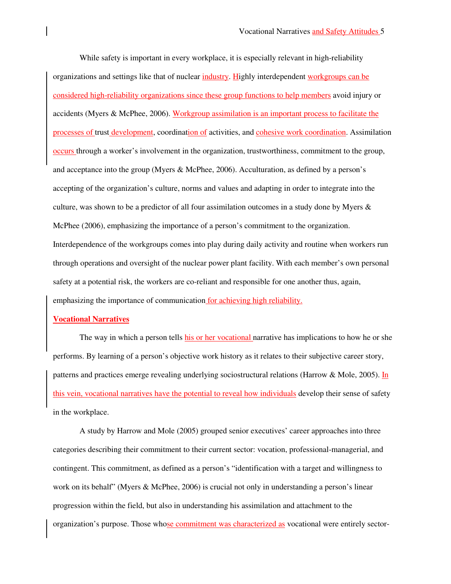While safety is important in every workplace, it is especially relevant in high-reliability organizations and settings like that of nuclear industry. Highly interdependent workgroups can be considered high-reliability organizations since these group functions to help members avoid injury or accidents (Myers & McPhee, 2006). Workgroup assimilation is an important process to facilitate the processes of trust development, coordination of activities, and cohesive work coordination. Assimilation occurs through a worker's involvement in the organization, trustworthiness, commitment to the group, and acceptance into the group (Myers & McPhee, 2006). Acculturation, as defined by a person's accepting of the organization's culture, norms and values and adapting in order to integrate into the culture, was shown to be a predictor of all four assimilation outcomes in a study done by Myers & McPhee (2006), emphasizing the importance of a person's commitment to the organization. Interdependence of the workgroups comes into play during daily activity and routine when workers run through operations and oversight of the nuclear power plant facility. With each member's own personal safety at a potential risk, the workers are co-reliant and responsible for one another thus, again, emphasizing the importance of communication for achieving high reliability.

#### **Vocational Narratives**

The way in which a person tells his or her vocational narrative has implications to how he or she performs. By learning of a person's objective work history as it relates to their subjective career story, patterns and practices emerge revealing underlying sociostructural relations (Harrow & Mole, 2005). In this vein, vocational narratives have the potential to reveal how individuals develop their sense of safety in the workplace.

A study by Harrow and Mole (2005) grouped senior executives' career approaches into three categories describing their commitment to their current sector: vocation, professional-managerial, and contingent. This commitment, as defined as a person's "identification with a target and willingness to work on its behalf" (Myers & McPhee, 2006) is crucial not only in understanding a person's linear progression within the field, but also in understanding his assimilation and attachment to the organization's purpose. Those whose commitment was characterized as vocational were entirely sector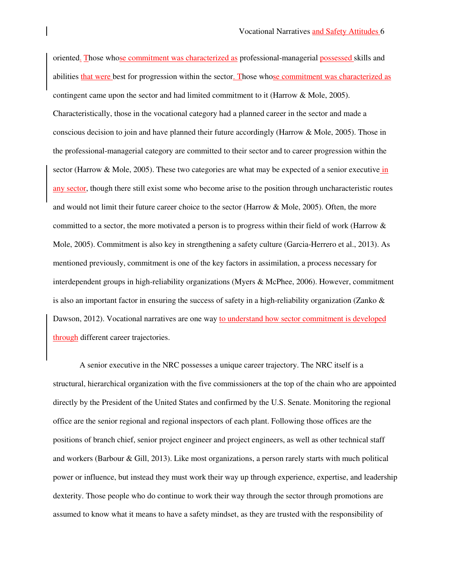oriented. Those whose commitment was characterized as professional-managerial possessed skills and abilities that were best for progression within the sector. Those whose commitment was characterized as contingent came upon the sector and had limited commitment to it (Harrow & Mole, 2005). Characteristically, those in the vocational category had a planned career in the sector and made a conscious decision to join and have planned their future accordingly (Harrow & Mole, 2005). Those in the professional-managerial category are committed to their sector and to career progression within the sector (Harrow & Mole, 2005). These two categories are what may be expected of a senior executive in any sector, though there still exist some who become arise to the position through uncharacteristic routes and would not limit their future career choice to the sector (Harrow & Mole, 2005). Often, the more committed to a sector, the more motivated a person is to progress within their field of work (Harrow & Mole, 2005). Commitment is also key in strengthening a safety culture (Garcia-Herrero et al., 2013). As mentioned previously, commitment is one of the key factors in assimilation, a process necessary for interdependent groups in high-reliability organizations (Myers & McPhee, 2006). However, commitment is also an important factor in ensuring the success of safety in a high-reliability organization (Zanko  $\&$ Dawson, 2012). Vocational narratives are one way to understand how sector commitment is developed through different career trajectories.

A senior executive in the NRC possesses a unique career trajectory. The NRC itself is a structural, hierarchical organization with the five commissioners at the top of the chain who are appointed directly by the President of the United States and confirmed by the U.S. Senate. Monitoring the regional office are the senior regional and regional inspectors of each plant. Following those offices are the positions of branch chief, senior project engineer and project engineers, as well as other technical staff and workers (Barbour & Gill, 2013). Like most organizations, a person rarely starts with much political power or influence, but instead they must work their way up through experience, expertise, and leadership dexterity. Those people who do continue to work their way through the sector through promotions are assumed to know what it means to have a safety mindset, as they are trusted with the responsibility of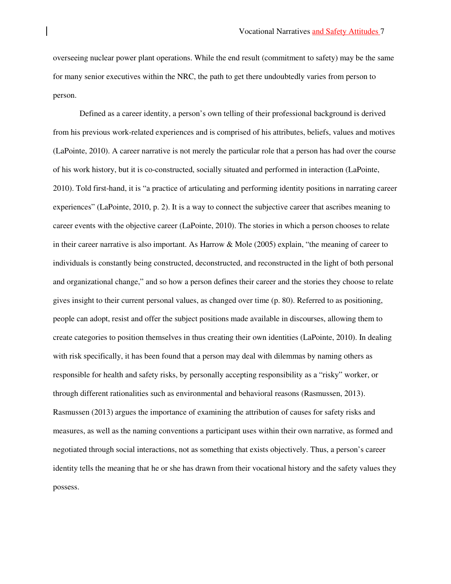overseeing nuclear power plant operations. While the end result (commitment to safety) may be the same for many senior executives within the NRC, the path to get there undoubtedly varies from person to person.

Defined as a career identity, a person's own telling of their professional background is derived from his previous work-related experiences and is comprised of his attributes, beliefs, values and motives (LaPointe, 2010). A career narrative is not merely the particular role that a person has had over the course of his work history, but it is co-constructed, socially situated and performed in interaction (LaPointe, 2010). Told first-hand, it is "a practice of articulating and performing identity positions in narrating career experiences" (LaPointe, 2010, p. 2). It is a way to connect the subjective career that ascribes meaning to career events with the objective career (LaPointe, 2010). The stories in which a person chooses to relate in their career narrative is also important. As Harrow & Mole (2005) explain, "the meaning of career to individuals is constantly being constructed, deconstructed, and reconstructed in the light of both personal and organizational change," and so how a person defines their career and the stories they choose to relate gives insight to their current personal values, as changed over time (p. 80). Referred to as positioning, people can adopt, resist and offer the subject positions made available in discourses, allowing them to create categories to position themselves in thus creating their own identities (LaPointe, 2010). In dealing with risk specifically, it has been found that a person may deal with dilemmas by naming others as responsible for health and safety risks, by personally accepting responsibility as a "risky" worker, or through different rationalities such as environmental and behavioral reasons (Rasmussen, 2013). Rasmussen (2013) argues the importance of examining the attribution of causes for safety risks and measures, as well as the naming conventions a participant uses within their own narrative, as formed and negotiated through social interactions, not as something that exists objectively. Thus, a person's career identity tells the meaning that he or she has drawn from their vocational history and the safety values they possess.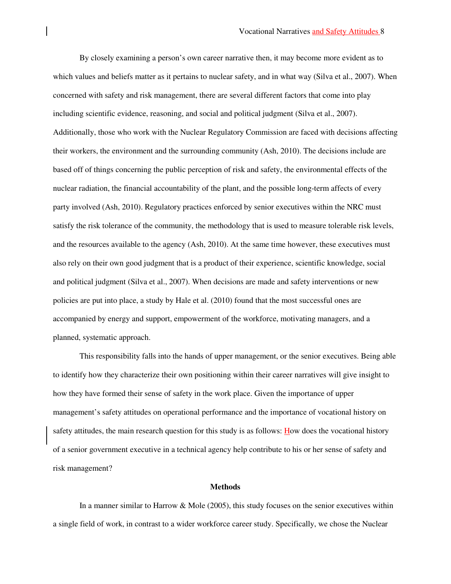By closely examining a person's own career narrative then, it may become more evident as to which values and beliefs matter as it pertains to nuclear safety, and in what way (Silva et al., 2007). When concerned with safety and risk management, there are several different factors that come into play including scientific evidence, reasoning, and social and political judgment (Silva et al., 2007). Additionally, those who work with the Nuclear Regulatory Commission are faced with decisions affecting their workers, the environment and the surrounding community (Ash, 2010). The decisions include are based off of things concerning the public perception of risk and safety, the environmental effects of the nuclear radiation, the financial accountability of the plant, and the possible long-term affects of every party involved (Ash, 2010). Regulatory practices enforced by senior executives within the NRC must satisfy the risk tolerance of the community, the methodology that is used to measure tolerable risk levels, and the resources available to the agency (Ash, 2010). At the same time however, these executives must also rely on their own good judgment that is a product of their experience, scientific knowledge, social and political judgment (Silva et al., 2007). When decisions are made and safety interventions or new policies are put into place, a study by Hale et al. (2010) found that the most successful ones are accompanied by energy and support, empowerment of the workforce, motivating managers, and a planned, systematic approach.

This responsibility falls into the hands of upper management, or the senior executives. Being able to identify how they characterize their own positioning within their career narratives will give insight to how they have formed their sense of safety in the work place. Given the importance of upper management's safety attitudes on operational performance and the importance of vocational history on safety attitudes, the main research question for this study is as follows: How does the vocational history of a senior government executive in a technical agency help contribute to his or her sense of safety and risk management?

#### **Methods**

In a manner similar to Harrow & Mole (2005), this study focuses on the senior executives within a single field of work, in contrast to a wider workforce career study. Specifically, we chose the Nuclear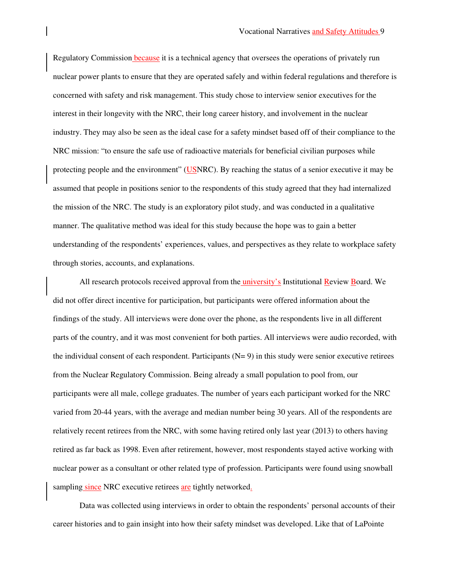Regulatory Commission because it is a technical agency that oversees the operations of privately run nuclear power plants to ensure that they are operated safely and within federal regulations and therefore is concerned with safety and risk management. This study chose to interview senior executives for the interest in their longevity with the NRC, their long career history, and involvement in the nuclear industry. They may also be seen as the ideal case for a safety mindset based off of their compliance to the NRC mission: "to ensure the safe use of radioactive materials for beneficial civilian purposes while protecting people and the environment" (USNRC). By reaching the status of a senior executive it may be assumed that people in positions senior to the respondents of this study agreed that they had internalized the mission of the NRC. The study is an exploratory pilot study, and was conducted in a qualitative manner. The qualitative method was ideal for this study because the hope was to gain a better understanding of the respondents' experiences, values, and perspectives as they relate to workplace safety through stories, accounts, and explanations.

All research protocols received approval from the university's Institutional Review Board. We did not offer direct incentive for participation, but participants were offered information about the findings of the study. All interviews were done over the phone, as the respondents live in all different parts of the country, and it was most convenient for both parties. All interviews were audio recorded, with the individual consent of each respondent. Participants  $(N= 9)$  in this study were senior executive retirees from the Nuclear Regulatory Commission. Being already a small population to pool from, our participants were all male, college graduates. The number of years each participant worked for the NRC varied from 20-44 years, with the average and median number being 30 years. All of the respondents are relatively recent retirees from the NRC, with some having retired only last year (2013) to others having retired as far back as 1998. Even after retirement, however, most respondents stayed active working with nuclear power as a consultant or other related type of profession. Participants were found using snowball sampling since NRC executive retirees are tightly networked.

Data was collected using interviews in order to obtain the respondents' personal accounts of their career histories and to gain insight into how their safety mindset was developed. Like that of LaPointe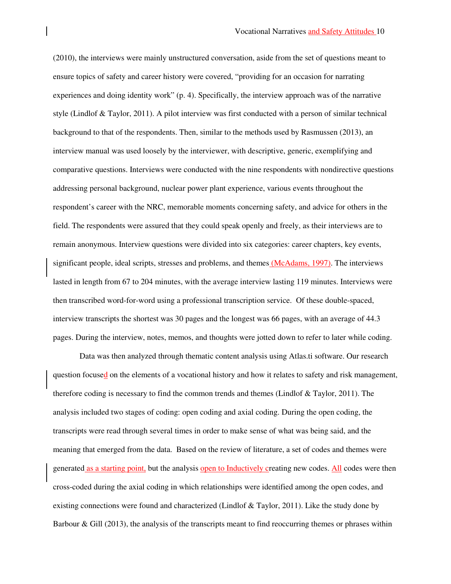(2010), the interviews were mainly unstructured conversation, aside from the set of questions meant to ensure topics of safety and career history were covered, "providing for an occasion for narrating experiences and doing identity work" (p. 4). Specifically, the interview approach was of the narrative style (Lindlof & Taylor, 2011). A pilot interview was first conducted with a person of similar technical background to that of the respondents. Then, similar to the methods used by Rasmussen (2013), an interview manual was used loosely by the interviewer, with descriptive, generic, exemplifying and comparative questions. Interviews were conducted with the nine respondents with nondirective questions addressing personal background, nuclear power plant experience, various events throughout the respondent's career with the NRC, memorable moments concerning safety, and advice for others in the field. The respondents were assured that they could speak openly and freely, as their interviews are to remain anonymous. Interview questions were divided into six categories: career chapters, key events, significant people, ideal scripts, stresses and problems, and themes (McAdams, 1997). The interviews lasted in length from 67 to 204 minutes, with the average interview lasting 119 minutes. Interviews were then transcribed word-for-word using a professional transcription service. Of these double-spaced, interview transcripts the shortest was 30 pages and the longest was 66 pages, with an average of 44.3 pages. During the interview, notes, memos, and thoughts were jotted down to refer to later while coding.

 Data was then analyzed through thematic content analysis using Atlas.ti software. Our research question focused on the elements of a vocational history and how it relates to safety and risk management, therefore coding is necessary to find the common trends and themes (Lindlof & Taylor, 2011). The analysis included two stages of coding: open coding and axial coding. During the open coding, the transcripts were read through several times in order to make sense of what was being said, and the meaning that emerged from the data. Based on the review of literature, a set of codes and themes were generated as a starting point, but the analysis open to Inductively creating new codes. All codes were then cross-coded during the axial coding in which relationships were identified among the open codes, and existing connections were found and characterized (Lindlof & Taylor, 2011). Like the study done by Barbour & Gill (2013), the analysis of the transcripts meant to find reoccurring themes or phrases within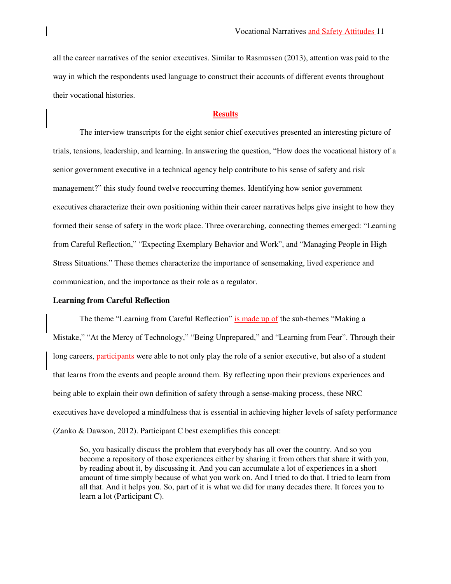all the career narratives of the senior executives. Similar to Rasmussen (2013), attention was paid to the way in which the respondents used language to construct their accounts of different events throughout their vocational histories.

### **Results**

The interview transcripts for the eight senior chief executives presented an interesting picture of trials, tensions, leadership, and learning. In answering the question, "How does the vocational history of a senior government executive in a technical agency help contribute to his sense of safety and risk management?" this study found twelve reoccurring themes. Identifying how senior government executives characterize their own positioning within their career narratives helps give insight to how they formed their sense of safety in the work place. Three overarching, connecting themes emerged: "Learning from Careful Reflection," "Expecting Exemplary Behavior and Work", and "Managing People in High Stress Situations." These themes characterize the importance of sensemaking, lived experience and communication, and the importance as their role as a regulator.

#### **Learning from Careful Reflection**

The theme "Learning from Careful Reflection" is made up of the sub-themes "Making a Mistake," "At the Mercy of Technology," "Being Unprepared," and "Learning from Fear". Through their long careers, participants were able to not only play the role of a senior executive, but also of a student that learns from the events and people around them. By reflecting upon their previous experiences and being able to explain their own definition of safety through a sense-making process, these NRC executives have developed a mindfulness that is essential in achieving higher levels of safety performance (Zanko & Dawson, 2012). Participant C best exemplifies this concept:

So, you basically discuss the problem that everybody has all over the country. And so you become a repository of those experiences either by sharing it from others that share it with you, by reading about it, by discussing it. And you can accumulate a lot of experiences in a short amount of time simply because of what you work on. And I tried to do that. I tried to learn from all that. And it helps you. So, part of it is what we did for many decades there. It forces you to learn a lot (Participant C).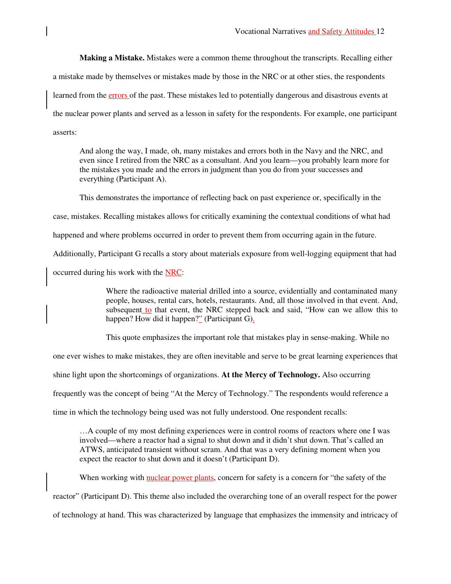**Making a Mistake.** Mistakes were a common theme throughout the transcripts. Recalling either a mistake made by themselves or mistakes made by those in the NRC or at other sties, the respondents learned from the errors of the past. These mistakes led to potentially dangerous and disastrous events at the nuclear power plants and served as a lesson in safety for the respondents. For example, one participant asserts:

And along the way, I made, oh, many mistakes and errors both in the Navy and the NRC, and even since I retired from the NRC as a consultant. And you learn—you probably learn more for the mistakes you made and the errors in judgment than you do from your successes and everything (Participant A).

This demonstrates the importance of reflecting back on past experience or, specifically in the

case, mistakes. Recalling mistakes allows for critically examining the contextual conditions of what had

happened and where problems occurred in order to prevent them from occurring again in the future.

Additionally, Participant G recalls a story about materials exposure from well-logging equipment that had

occurred during his work with the NRC:

 Where the radioactive material drilled into a source, evidentially and contaminated many people, houses, rental cars, hotels, restaurants. And, all those involved in that event. And, subsequent to that event, the NRC stepped back and said, "How can we allow this to happen? How did it happen?" (Participant G).

This quote emphasizes the important role that mistakes play in sense-making. While no

one ever wishes to make mistakes, they are often inevitable and serve to be great learning experiences that

shine light upon the shortcomings of organizations. **At the Mercy of Technology.** Also occurring

frequently was the concept of being "At the Mercy of Technology." The respondents would reference a

time in which the technology being used was not fully understood. One respondent recalls:

…A couple of my most defining experiences were in control rooms of reactors where one I was involved—where a reactor had a signal to shut down and it didn't shut down. That's called an ATWS, anticipated transient without scram. And that was a very defining moment when you expect the reactor to shut down and it doesn't (Participant D).

When working with nuclear power plants, concern for safety is a concern for "the safety of the

reactor" (Participant D). This theme also included the overarching tone of an overall respect for the power

of technology at hand. This was characterized by language that emphasizes the immensity and intricacy of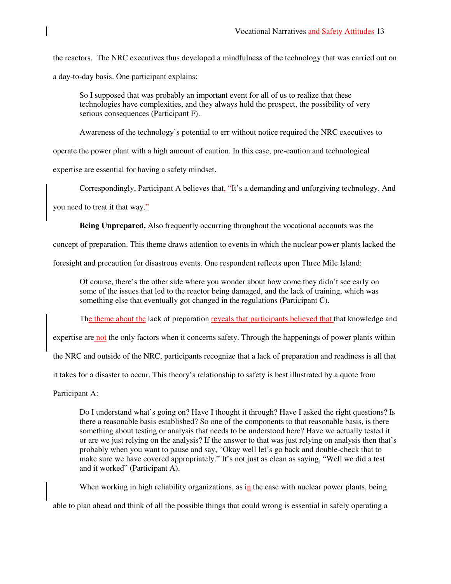the reactors. The NRC executives thus developed a mindfulness of the technology that was carried out on a day-to-day basis. One participant explains:

So I supposed that was probably an important event for all of us to realize that these technologies have complexities, and they always hold the prospect, the possibility of very serious consequences (Participant F).

Awareness of the technology's potential to err without notice required the NRC executives to

operate the power plant with a high amount of caution. In this case, pre-caution and technological

expertise are essential for having a safety mindset.

Correspondingly, Participant A believes that, "It's a demanding and unforgiving technology. And

you need to treat it that way."

**Being Unprepared.** Also frequently occurring throughout the vocational accounts was the

concept of preparation. This theme draws attention to events in which the nuclear power plants lacked the

foresight and precaution for disastrous events. One respondent reflects upon Three Mile Island:

Of course, there's the other side where you wonder about how come they didn't see early on some of the issues that led to the reactor being damaged, and the lack of training, which was something else that eventually got changed in the regulations (Participant C).

The theme about the lack of preparation reveals that participants believed that that knowledge and

expertise are not the only factors when it concerns safety. Through the happenings of power plants within

the NRC and outside of the NRC, participants recognize that a lack of preparation and readiness is all that

it takes for a disaster to occur. This theory's relationship to safety is best illustrated by a quote from

Participant A:

Do I understand what's going on? Have I thought it through? Have I asked the right questions? Is there a reasonable basis established? So one of the components to that reasonable basis, is there something about testing or analysis that needs to be understood here? Have we actually tested it or are we just relying on the analysis? If the answer to that was just relying on analysis then that's probably when you want to pause and say, "Okay well let's go back and double-check that to make sure we have covered appropriately." It's not just as clean as saying, "Well we did a test and it worked" (Participant A).

When working in high reliability organizations, as  $\overline{in}$  the case with nuclear power plants, being

able to plan ahead and think of all the possible things that could wrong is essential in safely operating a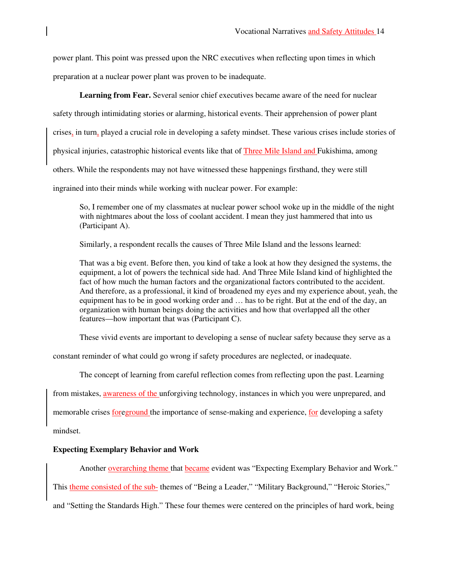power plant. This point was pressed upon the NRC executives when reflecting upon times in which preparation at a nuclear power plant was proven to be inadequate.

**Learning from Fear.** Several senior chief executives became aware of the need for nuclear safety through intimidating stories or alarming, historical events. Their apprehension of power plant crises, in turn, played a crucial role in developing a safety mindset. These various crises include stories of physical injuries, catastrophic historical events like that of Three Mile Island and Fukishima, among others. While the respondents may not have witnessed these happenings firsthand, they were still ingrained into their minds while working with nuclear power. For example:

So, I remember one of my classmates at nuclear power school woke up in the middle of the night with nightmares about the loss of coolant accident. I mean they just hammered that into us (Participant A).

Similarly, a respondent recalls the causes of Three Mile Island and the lessons learned:

That was a big event. Before then, you kind of take a look at how they designed the systems, the equipment, a lot of powers the technical side had. And Three Mile Island kind of highlighted the fact of how much the human factors and the organizational factors contributed to the accident. And therefore, as a professional, it kind of broadened my eyes and my experience about, yeah, the equipment has to be in good working order and … has to be right. But at the end of the day, an organization with human beings doing the activities and how that overlapped all the other features—how important that was (Participant C).

These vivid events are important to developing a sense of nuclear safety because they serve as a

constant reminder of what could go wrong if safety procedures are neglected, or inadequate.

The concept of learning from careful reflection comes from reflecting upon the past. Learning

from mistakes, awareness of the unforgiving technology, instances in which you were unprepared, and

memorable crises foreground the importance of sense-making and experience, for developing a safety

mindset.

# **Expecting Exemplary Behavior and Work**

Another overarching theme that became evident was "Expecting Exemplary Behavior and Work." This theme consisted of the sub- themes of "Being a Leader," "Military Background," "Heroic Stories," and "Setting the Standards High." These four themes were centered on the principles of hard work, being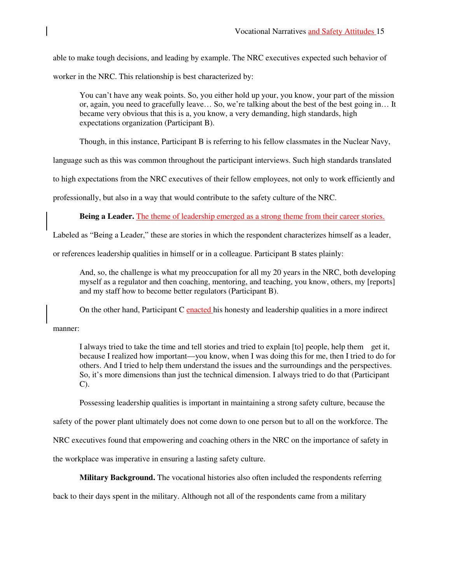able to make tough decisions, and leading by example. The NRC executives expected such behavior of

worker in the NRC. This relationship is best characterized by:

You can't have any weak points. So, you either hold up your, you know, your part of the mission or, again, you need to gracefully leave… So, we're talking about the best of the best going in… It became very obvious that this is a, you know, a very demanding, high standards, high expectations organization (Participant B).

Though, in this instance, Participant B is referring to his fellow classmates in the Nuclear Navy,

language such as this was common throughout the participant interviews. Such high standards translated

to high expectations from the NRC executives of their fellow employees, not only to work efficiently and

professionally, but also in a way that would contribute to the safety culture of the NRC.

**Being a Leader.** The theme of leadership emerged as a strong theme from their career stories.

Labeled as "Being a Leader," these are stories in which the respondent characterizes himself as a leader,

or references leadership qualities in himself or in a colleague. Participant B states plainly:

And, so, the challenge is what my preoccupation for all my 20 years in the NRC, both developing myself as a regulator and then coaching, mentoring, and teaching, you know, others, my [reports] and my staff how to become better regulators (Participant B).

On the other hand, Participant C enacted his honesty and leadership qualities in a more indirect

manner:

I always tried to take the time and tell stories and tried to explain [to] people, help them get it, because I realized how important—you know, when I was doing this for me, then I tried to do for others. And I tried to help them understand the issues and the surroundings and the perspectives. So, it's more dimensions than just the technical dimension. I always tried to do that (Participant C).

Possessing leadership qualities is important in maintaining a strong safety culture, because the

safety of the power plant ultimately does not come down to one person but to all on the workforce. The

NRC executives found that empowering and coaching others in the NRC on the importance of safety in

the workplace was imperative in ensuring a lasting safety culture.

**Military Background.** The vocational histories also often included the respondents referring

back to their days spent in the military. Although not all of the respondents came from a military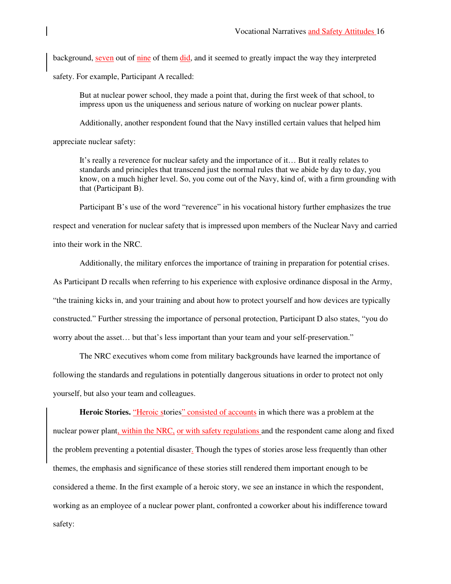background, seven out of nine of them did, and it seemed to greatly impact the way they interpreted

safety. For example, Participant A recalled:

But at nuclear power school, they made a point that, during the first week of that school, to impress upon us the uniqueness and serious nature of working on nuclear power plants.

Additionally, another respondent found that the Navy instilled certain values that helped him

appreciate nuclear safety:

It's really a reverence for nuclear safety and the importance of it… But it really relates to standards and principles that transcend just the normal rules that we abide by day to day, you know, on a much higher level. So, you come out of the Navy, kind of, with a firm grounding with that (Participant B).

Participant B's use of the word "reverence" in his vocational history further emphasizes the true

respect and veneration for nuclear safety that is impressed upon members of the Nuclear Navy and carried into their work in the NRC.

 Additionally, the military enforces the importance of training in preparation for potential crises. As Participant D recalls when referring to his experience with explosive ordinance disposal in the Army, "the training kicks in, and your training and about how to protect yourself and how devices are typically constructed." Further stressing the importance of personal protection, Participant D also states, "you do worry about the asset… but that's less important than your team and your self-preservation."

 The NRC executives whom come from military backgrounds have learned the importance of following the standards and regulations in potentially dangerous situations in order to protect not only yourself, but also your team and colleagues.

**Heroic Stories.** "Heroic stories" consisted of accounts in which there was a problem at the nuclear power plant, within the NRC, or with safety regulations and the respondent came along and fixed the problem preventing a potential disaster. Though the types of stories arose less frequently than other themes, the emphasis and significance of these stories still rendered them important enough to be considered a theme. In the first example of a heroic story, we see an instance in which the respondent, working as an employee of a nuclear power plant, confronted a coworker about his indifference toward safety: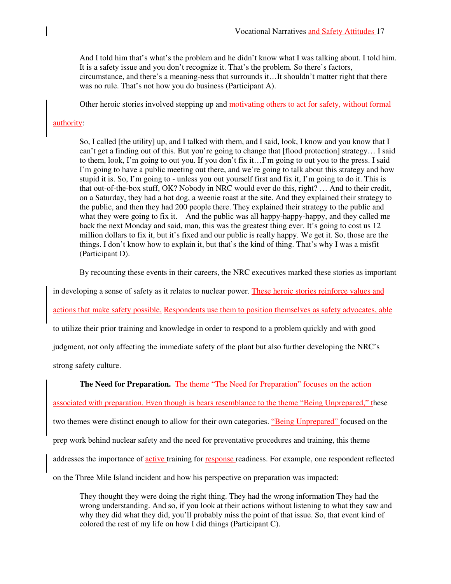And I told him that's what's the problem and he didn't know what I was talking about. I told him. It is a safety issue and you don't recognize it. That's the problem. So there's factors, circumstance, and there's a meaning-ness that surrounds it…It shouldn't matter right that there was no rule. That's not how you do business (Participant A).

Other heroic stories involved stepping up and motivating others to act for safety, without formal

### authority:

So, I called [the utility] up, and I talked with them, and I said, look, I know and you know that I can't get a finding out of this. But you're going to change that [flood protection] strategy... I said to them, look, I'm going to out you. If you don't fix it…I'm going to out you to the press. I said I'm going to have a public meeting out there, and we're going to talk about this strategy and how stupid it is. So, I'm going to - unless you out yourself first and fix it, I'm going to do it. This is that out-of-the-box stuff, OK? Nobody in NRC would ever do this, right? … And to their credit, on a Saturday, they had a hot dog, a weenie roast at the site. And they explained their strategy to the public, and then they had 200 people there. They explained their strategy to the public and what they were going to fix it. And the public was all happy-happy-happy, and they called me back the next Monday and said, man, this was the greatest thing ever. It's going to cost us 12 million dollars to fix it, but it's fixed and our public is really happy. We get it. So, those are the things. I don't know how to explain it, but that's the kind of thing. That's why I was a misfit (Participant D).

By recounting these events in their careers, the NRC executives marked these stories as important

in developing a sense of safety as it relates to nuclear power. These heroic stories reinforce values and

actions that make safety possible. Respondents use them to position themselves as safety advocates, able

to utilize their prior training and knowledge in order to respond to a problem quickly and with good

judgment, not only affecting the immediate safety of the plant but also further developing the NRC's

strong safety culture.

# **The Need for Preparation.** The theme "The Need for Preparation" focuses on the action

associated with preparation. Even though is bears resemblance to the theme "Being Unprepared," these

two themes were distinct enough to allow for their own categories. "Being Unprepared" focused on the

prep work behind nuclear safety and the need for preventative procedures and training, this theme

addresses the importance of active training for response readiness. For example, one respondent reflected

on the Three Mile Island incident and how his perspective on preparation was impacted:

They thought they were doing the right thing. They had the wrong information They had the wrong understanding. And so, if you look at their actions without listening to what they saw and why they did what they did, you'll probably miss the point of that issue. So, that event kind of colored the rest of my life on how I did things (Participant C).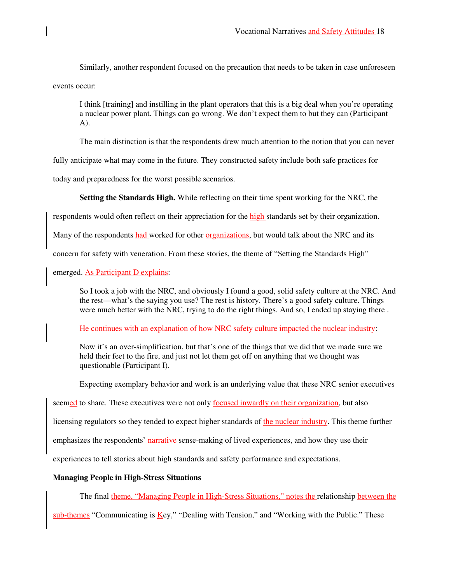Similarly, another respondent focused on the precaution that needs to be taken in case unforeseen events occur:

I think [training] and instilling in the plant operators that this is a big deal when you're operating a nuclear power plant. Things can go wrong. We don't expect them to but they can (Participant  $A)$ .

The main distinction is that the respondents drew much attention to the notion that you can never

fully anticipate what may come in the future. They constructed safety include both safe practices for

today and preparedness for the worst possible scenarios.

**Setting the Standards High.** While reflecting on their time spent working for the NRC, the

respondents would often reflect on their appreciation for the high standards set by their organization.

Many of the respondents had worked for other organizations, but would talk about the NRC and its

concern for safety with veneration. From these stories, the theme of "Setting the Standards High"

emerged. As Participant D explains:

So I took a job with the NRC, and obviously I found a good, solid safety culture at the NRC. And the rest—what's the saying you use? The rest is history. There's a good safety culture. Things were much better with the NRC, trying to do the right things. And so, I ended up staying there .

He continues with an explanation of how NRC safety culture impacted the nuclear industry:

Now it's an over-simplification, but that's one of the things that we did that we made sure we held their feet to the fire, and just not let them get off on anything that we thought was questionable (Participant I).

Expecting exemplary behavior and work is an underlying value that these NRC senior executives

seemed to share. These executives were not only focused inwardly on their organization, but also

licensing regulators so they tended to expect higher standards of the nuclear industry. This theme further

emphasizes the respondents' narrative sense-making of lived experiences, and how they use their

experiences to tell stories about high standards and safety performance and expectations.

# **Managing People in High-Stress Situations**

The final theme, "Managing People in High-Stress Situations," notes the relationship between the

sub-themes "Communicating is Key," "Dealing with Tension," and "Working with the Public." These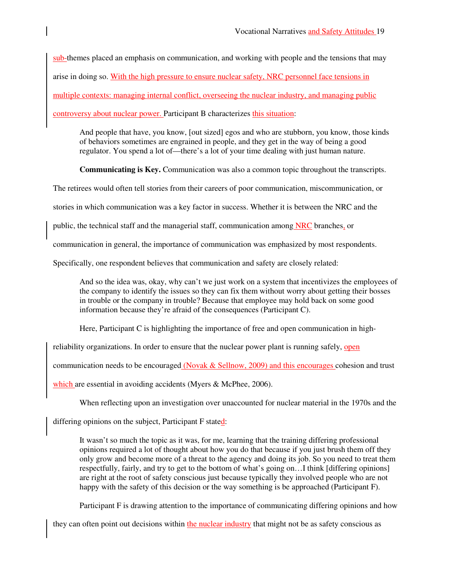sub-themes placed an emphasis on communication, and working with people and the tensions that may arise in doing so. With the high pressure to ensure nuclear safety, NRC personnel face tensions in multiple contexts: managing internal conflict, overseeing the nuclear industry, and managing public controversy about nuclear power. Participant B characterizes this situation:

And people that have, you know, [out sized] egos and who are stubborn, you know, those kinds of behaviors sometimes are engrained in people, and they get in the way of being a good regulator. You spend a lot of—there's a lot of your time dealing with just human nature.

**Communicating is Key.** Communication was also a common topic throughout the transcripts.

The retirees would often tell stories from their careers of poor communication, miscommunication, or

stories in which communication was a key factor in success. Whether it is between the NRC and the

public, the technical staff and the managerial staff, communication among NRC branches, or

communication in general, the importance of communication was emphasized by most respondents.

Specifically, one respondent believes that communication and safety are closely related:

And so the idea was, okay, why can't we just work on a system that incentivizes the employees of the company to identify the issues so they can fix them without worry about getting their bosses in trouble or the company in trouble? Because that employee may hold back on some good information because they're afraid of the consequences (Participant C).

Here, Participant C is highlighting the importance of free and open communication in high-

reliability organizations. In order to ensure that the nuclear power plant is running safely, open

communication needs to be encouraged (Novak  $&$  Sellnow, 2009) and this encourages cohesion and trust

which are essential in avoiding accidents (Myers & McPhee, 2006).

When reflecting upon an investigation over unaccounted for nuclear material in the 1970s and the

differing opinions on the subject, Participant F stated:

It wasn't so much the topic as it was, for me, learning that the training differing professional opinions required a lot of thought about how you do that because if you just brush them off they only grow and become more of a threat to the agency and doing its job. So you need to treat them respectfully, fairly, and try to get to the bottom of what's going on…I think [differing opinions] are right at the root of safety conscious just because typically they involved people who are not happy with the safety of this decision or the way something is be approached (Participant F).

Participant F is drawing attention to the importance of communicating differing opinions and how

they can often point out decisions within the nuclear industry that might not be as safety conscious as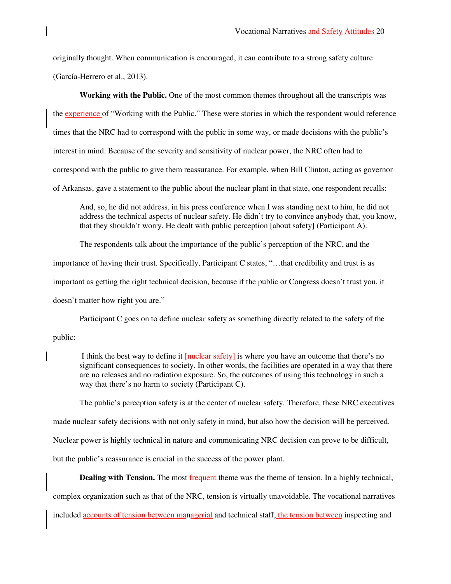originally thought. When communication is encouraged, it can contribute to a strong safety culture (García-Herrero et al., 2013).

**Working with the Public.** One of the most common themes throughout all the transcripts was the experience of "Working with the Public." These were stories in which the respondent would reference times that the NRC had to correspond with the public in some way, or made decisions with the public's interest in mind. Because of the severity and sensitivity of nuclear power, the NRC often had to correspond with the public to give them reassurance. For example, when Bill Clinton, acting as governor of Arkansas, gave a statement to the public about the nuclear plant in that state, one respondent recalls:

And, so, he did not address, in his press conference when I was standing next to him, he did not address the technical aspects of nuclear safety. He didn't try to convince anybody that, you know, that they shouldn't worry. He dealt with public perception [about safety] (Participant A).

 The respondents talk about the importance of the public's perception of the NRC, and the importance of having their trust. Specifically, Participant C states, "…that credibility and trust is as important as getting the right technical decision, because if the public or Congress doesn't trust you, it doesn't matter how right you are."

Participant C goes on to define nuclear safety as something directly related to the safety of the public:

 I think the best way to define it [nuclear safety] is where you have an outcome that there's no significant consequences to society. In other words, the facilities are operated in a way that there are no releases and no radiation exposure. So, the outcomes of using this technology in such a way that there's no harm to society (Participant C).

The public's perception safety is at the center of nuclear safety. Therefore, these NRC executives

made nuclear safety decisions with not only safety in mind, but also how the decision will be perceived.

Nuclear power is highly technical in nature and communicating NRC decision can prove to be difficult,

but the public's reassurance is crucial in the success of the power plant.

**Dealing with Tension.** The most **frequent** theme was the theme of tension. In a highly technical,

complex organization such as that of the NRC, tension is virtually unavoidable. The vocational narratives

included accounts of tension between managerial and technical staff, the tension between inspecting and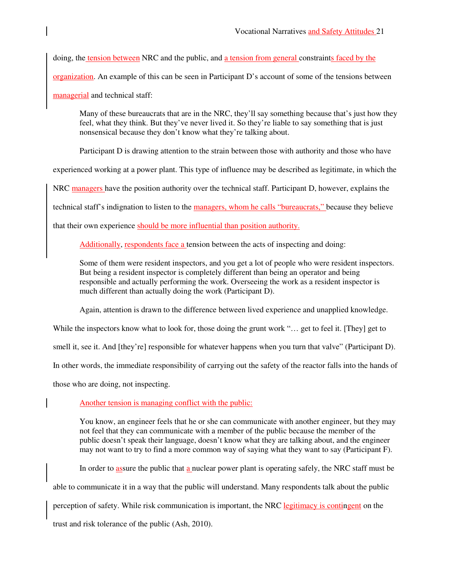doing, the tension between NRC and the public, and a tension from general constraints faced by the organization. An example of this can be seen in Participant D's account of some of the tensions between managerial and technical staff:

Many of these bureaucrats that are in the NRC, they'll say something because that's just how they feel, what they think. But they've never lived it. So they're liable to say something that is just nonsensical because they don't know what they're talking about.

Participant D is drawing attention to the strain between those with authority and those who have

experienced working at a power plant. This type of influence may be described as legitimate, in which the

NRC managers have the position authority over the technical staff. Participant D, however, explains the

technical staff's indignation to listen to the managers, whom he calls "bureaucrats," because they believe

that their own experience should be more influential than position authority.

Additionally, respondents face a tension between the acts of inspecting and doing:

Some of them were resident inspectors, and you get a lot of people who were resident inspectors. But being a resident inspector is completely different than being an operator and being responsible and actually performing the work. Overseeing the work as a resident inspector is much different than actually doing the work (Participant D).

Again, attention is drawn to the difference between lived experience and unapplied knowledge.

While the inspectors know what to look for, those doing the grunt work "... get to feel it. [They] get to

smell it, see it. And [they're] responsible for whatever happens when you turn that valve" (Participant D).

In other words, the immediate responsibility of carrying out the safety of the reactor falls into the hands of

those who are doing, not inspecting.

Another tension is managing conflict with the public:

You know, an engineer feels that he or she can communicate with another engineer, but they may not feel that they can communicate with a member of the public because the member of the public doesn't speak their language, doesn't know what they are talking about, and the engineer may not want to try to find a more common way of saying what they want to say (Participant F).

In order to assure the public that a nuclear power plant is operating safely, the NRC staff must be

able to communicate it in a way that the public will understand. Many respondents talk about the public

perception of safety. While risk communication is important, the NRC legitimacy is contingent on the

trust and risk tolerance of the public (Ash, 2010).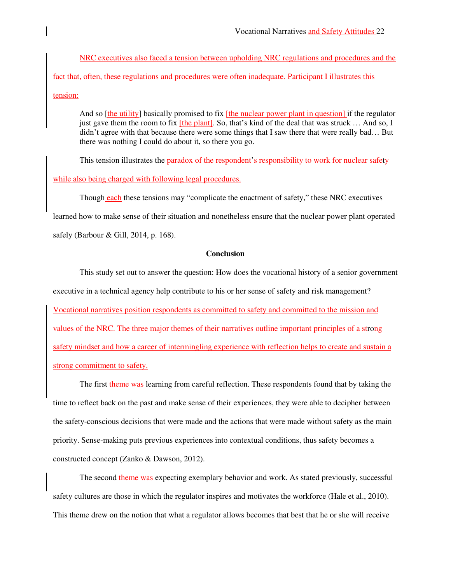NRC executives also faced a tension between upholding NRC regulations and procedures and the fact that, often, these regulations and procedures were often inadequate. Participant I illustrates this tension:

And so [the utility] basically promised to fix [the nuclear power plant in question] if the regulator just gave them the room to fix  $[the plant]$ . So, that's kind of the deal that was struck ... And so, I didn't agree with that because there were some things that I saw there that were really bad… But there was nothing I could do about it, so there you go.

This tension illustrates the paradox of the respondent's responsibility to work for nuclear safety while also being charged with following legal procedures.

Though each these tensions may "complicate the enactment of safety," these NRC executives

learned how to make sense of their situation and nonetheless ensure that the nuclear power plant operated

safely (Barbour & Gill, 2014, p. 168).

### **Conclusion**

 This study set out to answer the question: How does the vocational history of a senior government executive in a technical agency help contribute to his or her sense of safety and risk management? Vocational narratives position respondents as committed to safety and committed to the mission and values of the NRC. The three major themes of their narratives outline important principles of a strong safety mindset and how a career of intermingling experience with reflection helps to create and sustain a strong commitment to safety.

The first theme was learning from careful reflection. These respondents found that by taking the time to reflect back on the past and make sense of their experiences, they were able to decipher between the safety-conscious decisions that were made and the actions that were made without safety as the main priority. Sense-making puts previous experiences into contextual conditions, thus safety becomes a constructed concept (Zanko & Dawson, 2012).

The second theme was expecting exemplary behavior and work. As stated previously, successful safety cultures are those in which the regulator inspires and motivates the workforce (Hale et al., 2010). This theme drew on the notion that what a regulator allows becomes that best that he or she will receive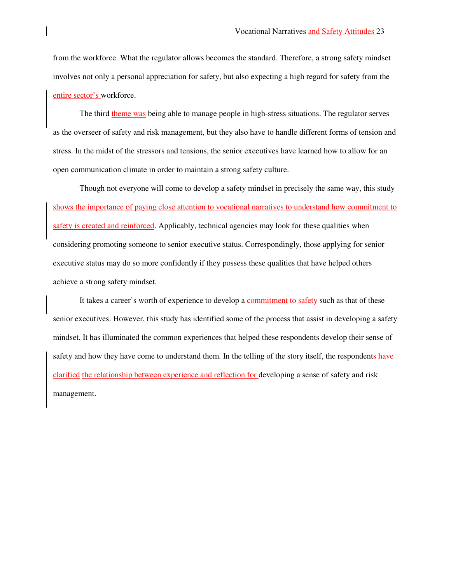from the workforce. What the regulator allows becomes the standard. Therefore, a strong safety mindset involves not only a personal appreciation for safety, but also expecting a high regard for safety from the entire sector's workforce.

 The third theme was being able to manage people in high-stress situations. The regulator serves as the overseer of safety and risk management, but they also have to handle different forms of tension and stress. In the midst of the stressors and tensions, the senior executives have learned how to allow for an open communication climate in order to maintain a strong safety culture.

 Though not everyone will come to develop a safety mindset in precisely the same way, this study shows the importance of paying close attention to vocational narratives to understand how commitment to safety is created and reinforced. Applicably, technical agencies may look for these qualities when considering promoting someone to senior executive status. Correspondingly, those applying for senior executive status may do so more confidently if they possess these qualities that have helped others achieve a strong safety mindset.

It takes a career's worth of experience to develop a commitment to safety such as that of these senior executives. However, this study has identified some of the process that assist in developing a safety mindset. It has illuminated the common experiences that helped these respondents develop their sense of safety and how they have come to understand them. In the telling of the story itself, the respondents have clarified the relationship between experience and reflection for developing a sense of safety and risk management.